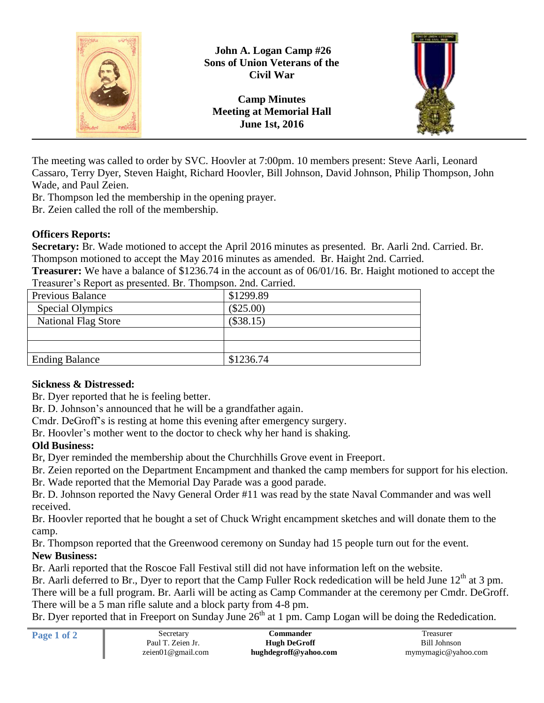

The meeting was called to order by SVC. Hoovler at 7:00pm. 10 members present: Steve Aarli, Leonard Cassaro, Terry Dyer, Steven Haight, Richard Hoovler, Bill Johnson, David Johnson, Philip Thompson, John Wade, and Paul Zeien.

Br. Thompson led the membership in the opening prayer.

Br. Zeien called the roll of the membership.

## **Officers Reports:**

**Secretary:** Br. Wade motioned to accept the April 2016 minutes as presented. Br. Aarli 2nd. Carried. Br. Thompson motioned to accept the May 2016 minutes as amended. Br. Haight 2nd. Carried.

**Treasurer:** We have a balance of \$1236.74 in the account as of 06/01/16. Br. Haight motioned to accept the Treasurer's Report as presented. Br. Thompson. 2nd. Carried.

| $\ldots$ , who we can be considered by the contract of $\ldots$ . The contract of the contract of $\ldots$ |             |  |
|------------------------------------------------------------------------------------------------------------|-------------|--|
| <b>Previous Balance</b>                                                                                    | \$1299.89   |  |
| Special Olympics                                                                                           | $(\$25.00)$ |  |
| <b>National Flag Store</b>                                                                                 | (\$38.15)   |  |
|                                                                                                            |             |  |
|                                                                                                            |             |  |
| <b>Ending Balance</b>                                                                                      | \$1236.74   |  |

## **Sickness & Distressed:**

Br. Dyer reported that he is feeling better.

Br. D. Johnson's announced that he will be a grandfather again.

Cmdr. DeGroff's is resting at home this evening after emergency surgery.

Br. Hoovler's mother went to the doctor to check why her hand is shaking.

## **Old Business:**

Br, Dyer reminded the membership about the Churchhills Grove event in Freeport.

Br. Zeien reported on the Department Encampment and thanked the camp members for support for his election.

Br. Wade reported that the Memorial Day Parade was a good parade.

Br. D. Johnson reported the Navy General Order #11 was read by the state Naval Commander and was well received.

Br. Hoovler reported that he bought a set of Chuck Wright encampment sketches and will donate them to the camp.

Br. Thompson reported that the Greenwood ceremony on Sunday had 15 people turn out for the event. **New Business:**

Br. Aarli reported that the Roscoe Fall Festival still did not have information left on the website.

Br. Aarli deferred to Br., Dyer to report that the Camp Fuller Rock rededication will be held June 12<sup>th</sup> at 3 pm. There will be a full program. Br. Aarli will be acting as Camp Commander at the ceremony per Cmdr. DeGroff. There will be a 5 man rifle salute and a block party from 4-8 pm.

Br. Dyer reported that in Freeport on Sunday June  $26<sup>th</sup>$  at 1 pm. Camp Logan will be doing the Rededication.

| Page 1 of 2 | Secretary         | <b>∴ommander</b>      | l reasurer          |
|-------------|-------------------|-----------------------|---------------------|
|             | Paul T. Zeien Jr. | <b>Hugh DeGroff</b>   | Bill Johnson        |
|             | zeien01@gmail.com | hughdegroff@yahoo.com | mymymagic@yahoo.com |